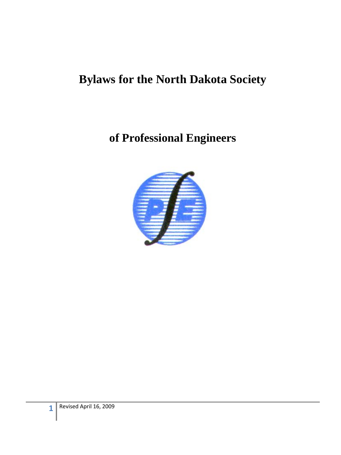# **Bylaws for the North Dakota Society**

**of Professional Engineers** 

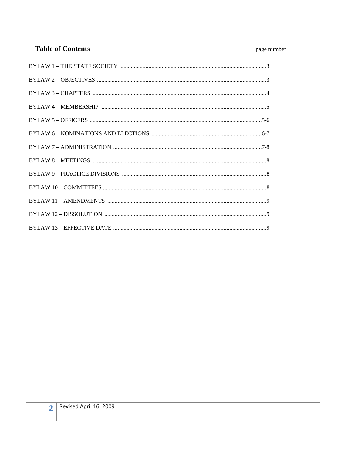## **Table of Contents**

## page number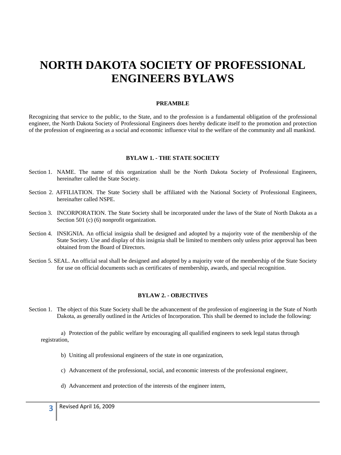# **NORTH DAKOTA SOCIETY OF PROFESSIONAL ENGINEERS BYLAWS**

#### **PREAMBLE**

Recognizing that service to the public, to the State, and to the profession is a fundamental obligation of the professional engineer, the North Dakota Society of Professional Engineers does hereby dedicate itself to the promotion and protection of the profession of engineering as a social and economic influence vital to the welfare of the community and all mankind.

#### **BYLAW 1. - THE STATE SOCIETY**

- Section 1. NAME. The name of this organization shall be the North Dakota Society of Professional Engineers, hereinafter called the State Society.
- Section 2. AFFILIATION. The State Society shall be affiliated with the National Society of Professional Engineers, hereinafter called NSPE.
- Section 3. INCORPORATION. The State Society shall be incorporated under the laws of the State of North Dakota as a Section 501 (c) (6) nonprofit organization.
- Section 4. INSIGNIA. An official insignia shall be designed and adopted by a majority vote of the membership of the State Society. Use and display of this insignia shall be limited to members only unless prior approval has been obtained from the Board of Directors.
- Section 5. SEAL. An official seal shall be designed and adopted by a majority vote of the membership of the State Society for use on official documents such as certificates of membership, awards, and special recognition.

#### **BYLAW 2. - OBJECTIVES**

Section 1. The object of this State Society shall be the advancement of the profession of engineering in the State of North Dakota, as generally outlined in the Articles of Incorporation. This shall be deemed to include the following:

a) Protection of the public welfare by encouraging all qualified engineers to seek legal status through registration,

- b) Uniting all professional engineers of the state in one organization,
- c) Advancement of the professional, social, and economic interests of the professional engineer,
- d) Advancement and protection of the interests of the engineer intern,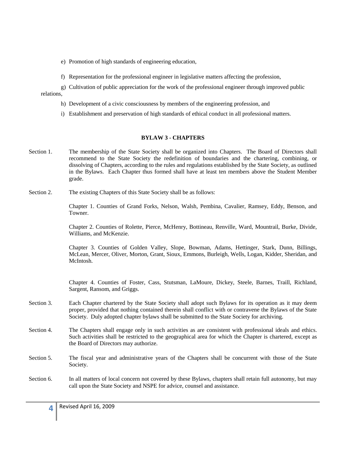e) Promotion of high standards of engineering education,

f) Representation for the professional engineer in legislative matters affecting the profession,

g) Cultivation of public appreciation for the work of the professional engineer through improved public relations,

- h) Development of a civic consciousness by members of the engineering profession, and
- i) Establishment and preservation of high standards of ethical conduct in all professional matters.

#### **BYLAW 3 - CHAPTERS**

- Section 1. The membership of the State Society shall be organized into Chapters. The Board of Directors shall recommend to the State Society the redefinition of boundaries and the chartering, combining, or dissolving of Chapters, according to the rules and regulations established by the State Society, as outlined in the Bylaws. Each Chapter thus formed shall have at least ten members above the Student Member grade.
- Section 2. The existing Chapters of this State Society shall be as follows:

Chapter 1. Counties of Grand Forks, Nelson, Walsh, Pembina, Cavalier, Ramsey, Eddy, Benson, and Towner.

Chapter 2. Counties of Rolette, Pierce, McHenry, Bottineau, Renville, Ward, Mountrail, Burke, Divide, Williams, and McKenzie.

Chapter 3. Counties of Golden Valley, Slope, Bowman, Adams, Hettinger, Stark, Dunn, Billings, McLean, Mercer, Oliver, Morton, Grant, Sioux, Emmons, Burleigh, Wells, Logan, Kidder, Sheridan, and McIntosh.

Chapter 4. Counties of Foster, Cass, Stutsman, LaMoure, Dickey, Steele, Barnes, Traill, Richland, Sargent, Ransom, and Griggs.

- Section 3. Each Chapter chartered by the State Society shall adopt such Bylaws for its operation as it may deem proper, provided that nothing contained therein shall conflict with or contravene the Bylaws of the State Society. Duly adopted chapter bylaws shall be submitted to the State Society for archiving.
- Section 4. The Chapters shall engage only in such activities as are consistent with professional ideals and ethics. Such activities shall be restricted to the geographical area for which the Chapter is chartered, except as the Board of Directors may authorize.
- Section 5. The fiscal year and administrative years of the Chapters shall be concurrent with those of the State Society.
- Section 6. In all matters of local concern not covered by these Bylaws, chapters shall retain full autonomy, but may call upon the State Society and NSPE for advice, counsel and assistance.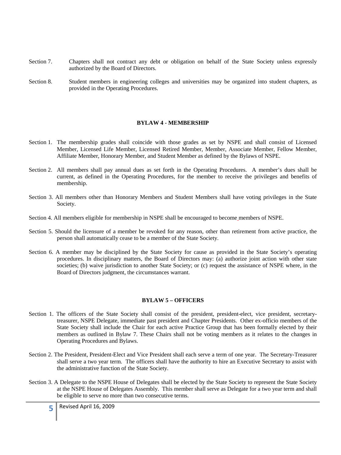- Section 7. Chapters shall not contract any debt or obligation on behalf of the State Society unless expressly authorized by the Board of Directors.
- Section 8. Student members in engineering colleges and universities may be organized into student chapters, as provided in the Operating Procedures.

#### **BYLAW 4 - MEMBERSHIP**

- Section 1. The membership grades shall coincide with those grades as set by NSPE and shall consist of Licensed Member, Licensed Life Member, Licensed Retired Member, Member, Associate Member, Fellow Member, Affiliate Member, Honorary Member, and Student Member as defined by the Bylaws of NSPE.
- Section 2. All members shall pay annual dues as set forth in the Operating Procedures. A member's dues shall be current, as defined in the Operating Procedures, for the member to receive the privileges and benefits of membership.
- Section 3. All members other than Honorary Members and Student Members shall have voting privileges in the State Society.
- Section 4. All members eligible for membership in NSPE shall be encouraged to become members of NSPE.
- Section 5. Should the licensure of a member be revoked for any reason, other than retirement from active practice, the person shall automatically cease to be a member of the State Society.
- Section 6. A member may be disciplined by the State Society for cause as provided in the State Society's operating procedures. In disciplinary matters, the Board of Directors may: (a) authorize joint action with other state societies; (b) waive jurisdiction to another State Society; or (c) request the assistance of NSPE where, in the Board of Directors judgment, the circumstances warrant.

#### **BYLAW 5 – OFFICERS**

- Section 1. The officers of the State Society shall consist of the president, president-elect, vice president, secretarytreasurer, NSPE Delegate, immediate past president and Chapter Presidents. Other ex-officio members of the State Society shall include the Chair for each active Practice Group that has been formally elected by their members as outlined in Bylaw 7. These Chairs shall not be voting members as it relates to the changes in Operating Procedures and Bylaws.
- Section 2. The President, President-Elect and Vice President shall each serve a term of one year. The Secretary-Treasurer shall serve a two year term. The officers shall have the authority to hire an Executive Secretary to assist with the administrative function of the State Society.
- Section 3. A Delegate to the NSPE House of Delegates shall be elected by the State Society to represent the State Society at the NSPE House of Delegates Assembly. This member shall serve as Delegate for a two year term and shall be eligible to serve no more than two consecutive terms.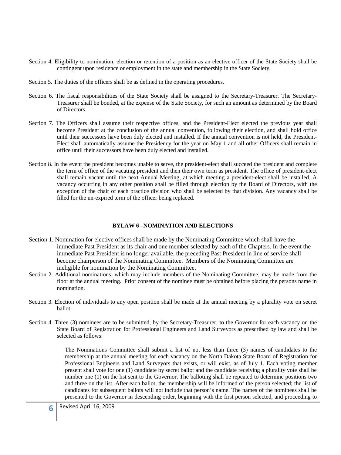- Section 4. Eligibility to nomination, election or retention of a position as an elective officer of the State Society shall be contingent upon residence or employment in the state and membership in the State Society.
- Section 5. The duties of the officers shall be as defined in the operating procedures.
- Section 6. The fiscal responsibilities of the State Society shall be assigned to the Secretary-Treasurer. The Secretary-Treasurer shall be bonded, at the expense of the State Society, for such an amount as determined by the Board of Directors.
- Section 7. The Officers shall assume their respective offices, and the President-Elect elected the previous year shall become President at the conclusion of the annual convention, following their election, and shall hold office until their successors have been duly elected and installed. If the annual convention is not held, the President-Elect shall automatically assume the Presidency for the year on May 1 and all other Officers shall remain in office until their successors have been duly elected and installed.
- Section 8. In the event the president becomes unable to serve, the president-elect shall succeed the president and complete the term of office of the vacating president and then their own term as president. The office of president-elect shall remain vacant until the next Annual Meeting, at which meeting a president-elect shall be installed. A vacancy occurring in any other position shall be filled through election by the Board of Directors, with the exception of the chair of each practice division who shall be selected by that division. Any vacancy shall be filled for the un-expired term of the officer being replaced.

#### **BYLAW 6 –NOMINATION AND ELECTIONS**

- Section 1. Nomination for elective offices shall be made by the Nominating Committee which shall have the immediate Past President as its chair and one member selected by each of the Chapters. In the event the immediate Past President is no longer available, the preceding Past President in line of service shall become chairperson of the Nominating Committee. Members of the Nominating Committee are ineligible for nomination by the Nominating Committee.
- Section 2. Additional nominations, which may include members of the Nominating Committee, may be made from the floor at the annual meeting. Prior consent of the nominee must be obtained before placing the persons name in nomination.
- Section 3. Election of individuals to any open position shall be made at the annual meeting by a plurality vote on secret ballot.
- Section 4. Three (3) nominees are to be submitted, by the Secretary-Treasurer, to the Governor for each vacancy on the State Board of Registration for Professional Engineers and Land Surveyors as prescribed by law and shall be selected as follows:

The Nominations Committee shall submit a list of not less than three (3) names of candidates to the membership at the annual meeting for each vacancy on the North Dakota State Board of Registration for Professional Engineers and Land Surveyors that exists, or will exist, as of July 1. Each voting member present shall vote for one (1) candidate by secret ballot and the candidate receiving a plurality vote shall be number one (1) on the list sent to the Governor. The balloting shall be repeated to determine positions two and three on the list. After each ballot, the membership will be informed of the person selected; the list of candidates for subsequent ballots will not include that person's name. The names of the nominees shall be presented to the Governor in descending order, beginning with the first person selected, and proceeding to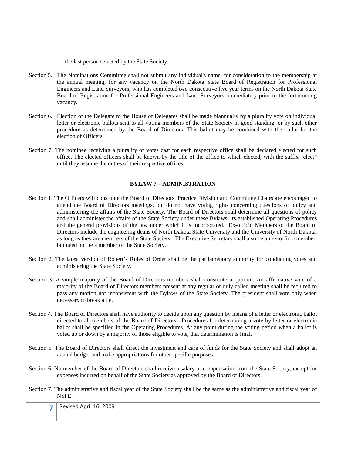the last person selected by the State Society.

- Section 5. The Nominations Committee shall not submit any individual's name, for consideration to the membership at the annual meeting, for any vacancy on the North Dakota State Board of Registration for Professional Engineers and Land Surveyors, who has completed two consecutive five year terms on the North Dakota State Board of Registration for Professional Engineers and Land Surveyors, immediately prior to the forthcoming vacancy.
- Section 6. Election of the Delegate to the House of Delegates shall be made biannually by a plurality vote on individual letter or electronic ballots sent to all voting members of the State Society in good standing, or by such other procedure as determined by the Board of Directors. This ballot may be combined with the ballot for the election of Officers.
- Section 7. The nominee receiving a plurality of votes cast for each respective office shall be declared elected for such office. The elected officers shall be known by the title of the office to which elected, with the suffix "elect" until they assume the duties of their respective offices.

#### **BYLAW 7 – ADMINISTRATION**

- Section 1. The Officers will constitute the Board of Directors. Practice Division and Committee Chairs are encouraged to attend the Board of Directors meetings, but do not have voting rights concerning questions of policy and administering the affairs of the State Society. The Board of Directors shall determine all questions of policy and shall administer the affairs of the State Society under these Bylaws, its established Operating Procedures and the general provisions of the law under which it is incorporated. Ex-officio Members of the Board of Directors include the engineering deans of North Dakota State University and the University of North Dakota, as long as they are members of the State Society. The Executive Secretary shall also be an ex-officio member, but need not be a member of the State Society.
- Section 2. The latest version of Robert's Rules of Order shall be the parliamentary authority for conducting votes and administering the State Society.
- Section 3. A simple majority of the Board of Directors members shall constitute a quorum. An affirmative vote of a majority of the Board of Directors members present at any regular or duly called meeting shall be required to pass any motion not inconsistent with the Bylaws of the State Society. The president shall vote only when necessary to break a tie.
- Section 4. The Board of Directors shall have authority to decide upon any question by means of a letter or electronic ballot directed to all members of the Board of Directors. Procedures for determining a vote by letter or electronic ballot shall be specified in the Operating Procedures. At any point during the voting period when a ballot is voted up or down by a majority of those eligible to vote, that determination is final.
- Section 5. The Board of Directors shall direct the investment and care of funds for the State Society and shall adopt an annual budget and make appropriations for other specific purposes.
- Section 6. No member of the Board of Directors shall receive a salary or compensation from the State Society, except for expenses incurred on behalf of the State Society as approved by the Board of Directors.
- Section 7. The administrative and fiscal year of the State Society shall be the same as the administrative and fiscal year of NSPE.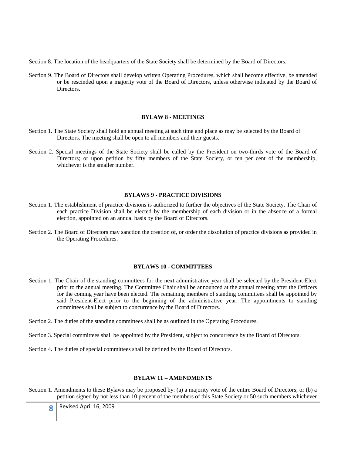Section 8. The location of the headquarters of the State Society shall be determined by the Board of Directors.

Section 9. The Board of Directors shall develop written Operating Procedures, which shall become effective, be amended or be rescinded upon a majority vote of the Board of Directors, unless otherwise indicated by the Board of **Directors** 

#### **BYLAW 8 - MEETINGS**

- Section 1. The State Society shall hold an annual meeting at such time and place as may be selected by the Board of Directors. The meeting shall be open to all members and their guests.
- Section 2. Special meetings of the State Society shall be called by the President on two-thirds vote of the Board of Directors; or upon petition by fifty members of the State Society, or ten per cent of the membership, whichever is the smaller number.

#### **BYLAWS 9 - PRACTICE DIVISIONS**

- Section 1. The establishment of practice divisions is authorized to further the objectives of the State Society. The Chair of each practice Division shall be elected by the membership of each division or in the absence of a formal election, appointed on an annual basis by the Board of Directors.
- Section 2. The Board of Directors may sanction the creation of, or order the dissolution of practice divisions as provided in the Operating Procedures.

#### **BYLAWS 10 - COMMITTEES**

- Section 1. The Chair of the standing committees for the next administrative year shall be selected by the President-Elect prior to the annual meeting. The Committee Chair shall be announced at the annual meeting after the Officers for the coming year have been elected. The remaining members of standing committees shall be appointed by said President-Elect prior to the beginning of the administrative year. The appointments to standing committees shall be subject to concurrence by the Board of Directors.
- Section 2. The duties of the standing committees shall be as outlined in the Operating Procedures.
- Section 3. Special committees shall be appointed by the President, subject to concurrence by the Board of Directors.
- Section 4. The duties of special committees shall be defined by the Board of Directors.

#### **BYLAW 11 – AMENDMENTS**

Section 1. Amendments to these Bylaws may be proposed by: (a) a majority vote of the entire Board of Directors; or (b) a petition signed by not less than 10 percent of the members of this State Society or 50 such members whichever